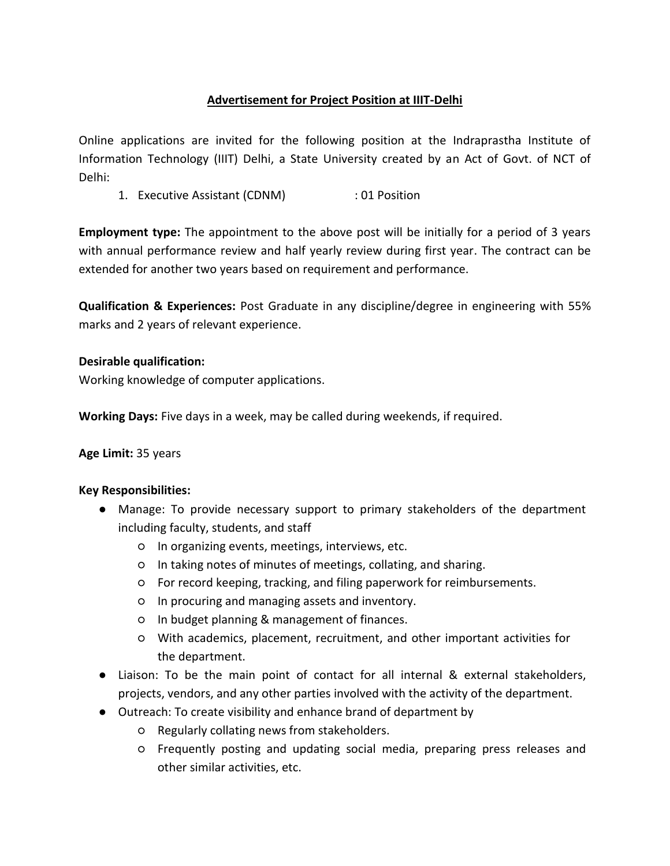# **Advertisement for Project Position at IIIT-Delhi**

Online applications are invited for the following position at the Indraprastha Institute of Information Technology (IIIT) Delhi, a State University created by an Act of Govt. of NCT of Delhi:

1. Executive Assistant (CDNM) : 01 Position

**Employment type:** The appointment to the above post will be initially for a period of 3 years with annual performance review and half yearly review during first year. The contract can be extended for another two years based on requirement and performance.

**Qualification & Experiences:** Post Graduate in any discipline/degree in engineering with 55% marks and 2 years of relevant experience.

### **Desirable qualification:**

Working knowledge of computer applications.

**Working Days:** Five days in a week, may be called during weekends, if required.

#### **Age Limit:** 35 years

#### **Key Responsibilities:**

- Manage: To provide necessary support to primary stakeholders of the department including faculty, students, and staff
	- In organizing events, meetings, interviews, etc.
	- In taking notes of minutes of meetings, collating, and sharing.
	- For record keeping, tracking, and filing paperwork for reimbursements.
	- In procuring and managing assets and inventory.
	- In budget planning & management of finances.
	- With academics, placement, recruitment, and other important activities for the department.
- Liaison: To be the main point of contact for all internal & external stakeholders, projects, vendors, and any other parties involved with the activity of the department.
- Outreach: To create visibility and enhance brand of department by
	- Regularly collating news from stakeholders.
	- Frequently posting and updating social media, preparing press releases and other similar activities, etc.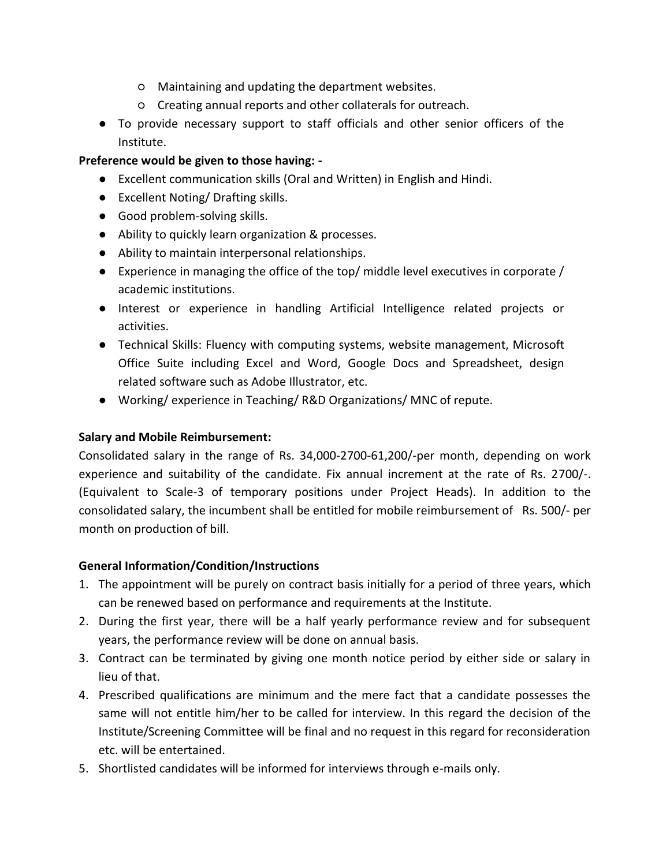- Maintaining and updating the department websites.
- Creating annual reports and other collaterals for outreach.
- To provide necessary support to staff officials and other senior officers of the Institute.

# **Preference would be given to those having: -**

- Excellent communication skills (Oral and Written) in English and Hindi.
- Excellent Noting/ Drafting skills.
- Good problem-solving skills.
- Ability to quickly learn organization & processes.
- Ability to maintain interpersonal relationships.
- $\bullet$  Experience in managing the office of the top/ middle level executives in corporate / academic institutions.
- Interest or experience in handling Artificial Intelligence related projects or activities.
- Technical Skills: Fluency with computing systems, website management, Microsoft Office Suite including Excel and Word, Google Docs and Spreadsheet, design related software such as Adobe Illustrator, etc.
- Working/ experience in Teaching/R&D Organizations/ MNC of repute.

## **Salary and Mobile Reimbursement:**

Consolidated salary in the range of Rs. 34,000-2700-61,200/-per month, depending on work experience and suitability of the candidate. Fix annual increment at the rate of Rs. 2700/-. (Equivalent to Scale-3 of temporary positions under Project Heads). In addition to the consolidated salary, the incumbent shall be entitled for mobile reimbursement of Rs. 500/- per month on production of bill.

## **General Information/Condition/Instructions**

- 1. The appointment will be purely on contract basis initially for a period of three years, which can be renewed based on performance and requirements at the Institute.
- 2. During the first year, there will be a half yearly performance review and for subsequent years, the performance review will be done on annual basis.
- 3. Contract can be terminated by giving one month notice period by either side or salary in lieu of that.
- 4. Prescribed qualifications are minimum and the mere fact that a candidate possesses the same will not entitle him/her to be called for interview. In this regard the decision of the Institute/Screening Committee will be final and no request in this regard for reconsideration etc. will be entertained.
- 5. Shortlisted candidates will be informed for interviews through e-mails only.